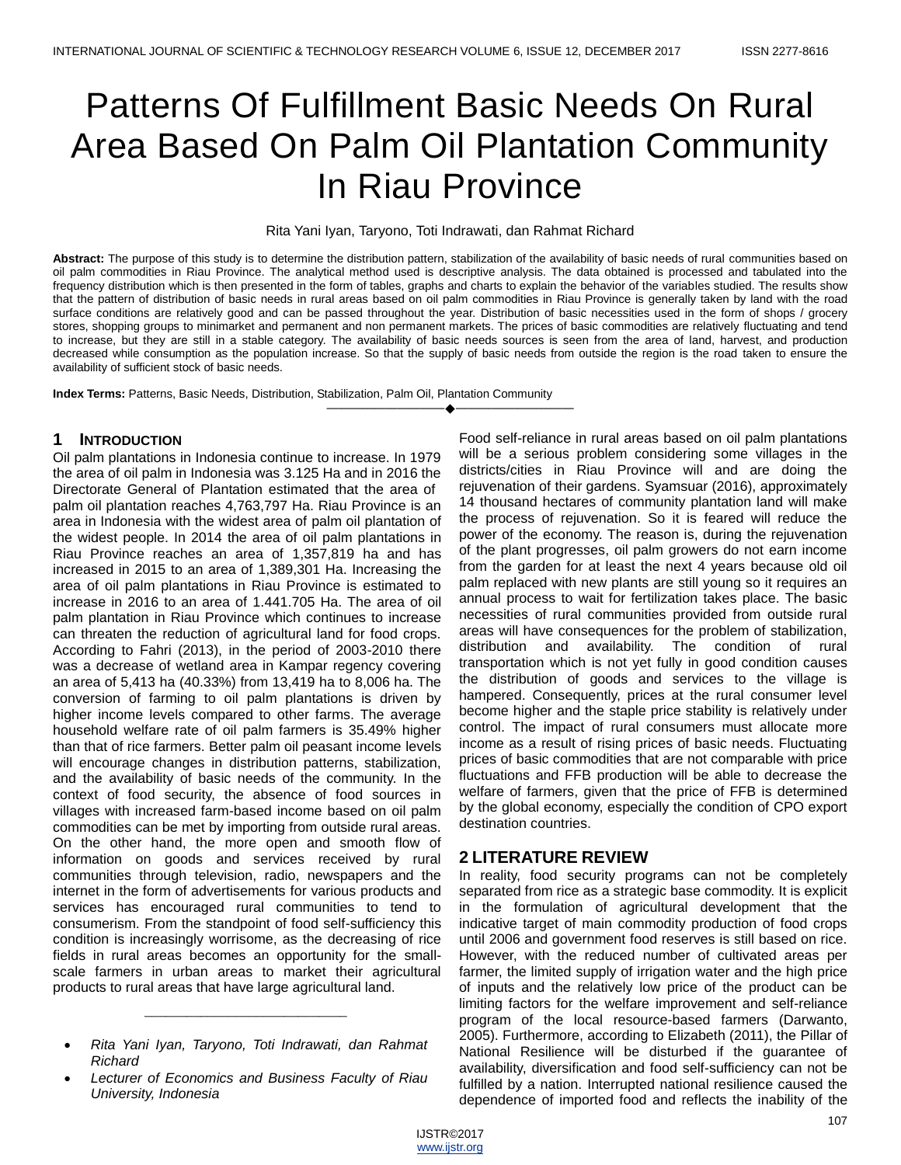# Patterns Of Fulfillment Basic Needs On Rural Area Based On Palm Oil Plantation Community In Riau Province

#### Rita Yani Iyan, Taryono, Toti Indrawati, dan Rahmat Richard

**Abstract:** The purpose of this study is to determine the distribution pattern, stabilization of the availability of basic needs of rural communities based on oil palm commodities in Riau Province. The analytical method used is descriptive analysis. The data obtained is processed and tabulated into the frequency distribution which is then presented in the form of tables, graphs and charts to explain the behavior of the variables studied. The results show that the pattern of distribution of basic needs in rural areas based on oil palm commodities in Riau Province is generally taken by land with the road surface conditions are relatively good and can be passed throughout the year. Distribution of basic necessities used in the form of shops / grocery stores, shopping groups to minimarket and permanent and non permanent markets. The prices of basic commodities are relatively fluctuating and tend to increase, but they are still in a stable category. The availability of basic needs sources is seen from the area of land, harvest, and production decreased while consumption as the population increase. So that the supply of basic needs from outside the region is the road taken to ensure the availability of sufficient stock of basic needs.

————————————————————

**Index Terms:** Patterns, Basic Needs, Distribution, Stabilization, Palm Oil, Plantation Community

# **1 INTRODUCTION**

Oil palm plantations in Indonesia continue to increase. In 1979 the area of oil palm in Indonesia was 3.125 Ha and in 2016 the Directorate General of Plantation estimated that the area of palm oil plantation reaches 4,763,797 Ha. Riau Province is an area in Indonesia with the widest area of palm oil plantation of the widest people. In 2014 the area of oil palm plantations in Riau Province reaches an area of 1,357,819 ha and has increased in 2015 to an area of 1,389,301 Ha. Increasing the area of oil palm plantations in Riau Province is estimated to increase in 2016 to an area of 1.441.705 Ha. The area of oil palm plantation in Riau Province which continues to increase can threaten the reduction of agricultural land for food crops. According to Fahri (2013), in the period of 2003-2010 there was a decrease of wetland area in Kampar regency covering an area of 5,413 ha (40.33%) from 13,419 ha to 8,006 ha. The conversion of farming to oil palm plantations is driven by higher income levels compared to other farms. The average household welfare rate of oil palm farmers is 35.49% higher than that of rice farmers. Better palm oil peasant income levels will encourage changes in distribution patterns, stabilization, and the availability of basic needs of the community. In the context of food security, the absence of food sources in villages with increased farm-based income based on oil palm commodities can be met by importing from outside rural areas. On the other hand, the more open and smooth flow of information on goods and services received by rural communities through television, radio, newspapers and the internet in the form of advertisements for various products and services has encouraged rural communities to tend to consumerism. From the standpoint of food self-sufficiency this condition is increasingly worrisome, as the decreasing of rice fields in rural areas becomes an opportunity for the smallscale farmers in urban areas to market their agricultural products to rural areas that have large agricultural land.

\_\_\_\_\_\_\_\_\_\_\_\_\_\_\_\_\_\_\_\_\_\_\_\_\_\_\_\_\_

 *Lecturer of Economics and Business Faculty of Riau University, Indonesia*

Food self-reliance in rural areas based on oil palm plantations will be a serious problem considering some villages in the districts/cities in Riau Province will and are doing the rejuvenation of their gardens. Syamsuar (2016), approximately 14 thousand hectares of community plantation land will make the process of rejuvenation. So it is feared will reduce the power of the economy. The reason is, during the rejuvenation of the plant progresses, oil palm growers do not earn income from the garden for at least the next 4 years because old oil palm replaced with new plants are still young so it requires an annual process to wait for fertilization takes place. The basic necessities of rural communities provided from outside rural areas will have consequences for the problem of stabilization, distribution and availability. The condition of rural transportation which is not yet fully in good condition causes the distribution of goods and services to the village is hampered. Consequently, prices at the rural consumer level become higher and the staple price stability is relatively under control. The impact of rural consumers must allocate more income as a result of rising prices of basic needs. Fluctuating prices of basic commodities that are not comparable with price fluctuations and FFB production will be able to decrease the welfare of farmers, given that the price of FFB is determined by the global economy, especially the condition of CPO export destination countries.

# **2 LITERATURE REVIEW**

In reality, food security programs can not be completely separated from rice as a strategic base commodity. It is explicit in the formulation of agricultural development that the indicative target of main commodity production of food crops until 2006 and government food reserves is still based on rice. However, with the reduced number of cultivated areas per farmer, the limited supply of irrigation water and the high price of inputs and the relatively low price of the product can be limiting factors for the welfare improvement and self-reliance program of the local resource-based farmers (Darwanto, 2005). Furthermore, according to Elizabeth (2011), the Pillar of National Resilience will be disturbed if the guarantee of availability, diversification and food self-sufficiency can not be fulfilled by a nation. Interrupted national resilience caused the dependence of imported food and reflects the inability of the

*Rita Yani Iyan, Taryono, Toti Indrawati, dan Rahmat Richard*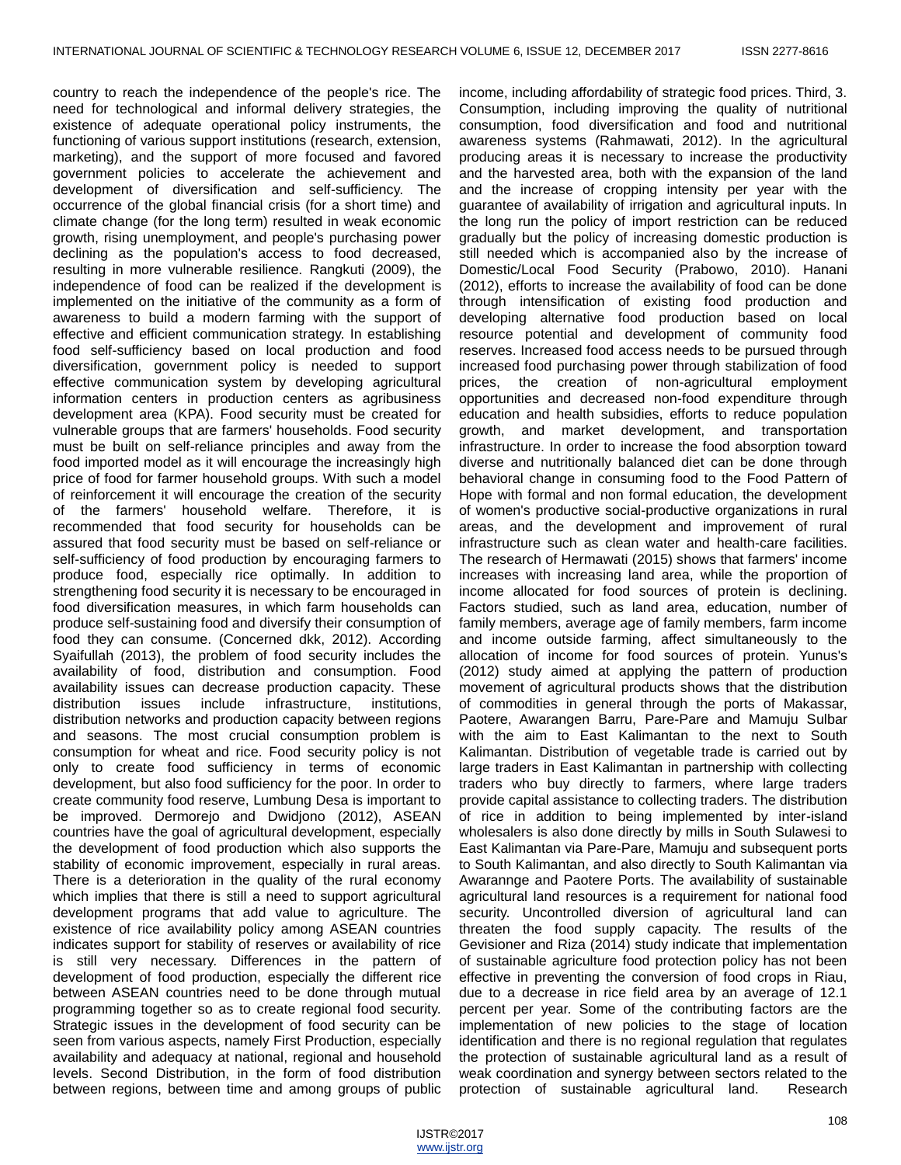country to reach the independence of the people's rice. The need for technological and informal delivery strategies, the existence of adequate operational policy instruments, the functioning of various support institutions (research, extension, marketing), and the support of more focused and favored government policies to accelerate the achievement and development of diversification and self-sufficiency. The occurrence of the global financial crisis (for a short time) and climate change (for the long term) resulted in weak economic growth, rising unemployment, and people's purchasing power declining as the population's access to food decreased, resulting in more vulnerable resilience. Rangkuti (2009), the independence of food can be realized if the development is implemented on the initiative of the community as a form of awareness to build a modern farming with the support of effective and efficient communication strategy. In establishing food self-sufficiency based on local production and food diversification, government policy is needed to support effective communication system by developing agricultural information centers in production centers as agribusiness development area (KPA). Food security must be created for vulnerable groups that are farmers' households. Food security must be built on self-reliance principles and away from the food imported model as it will encourage the increasingly high price of food for farmer household groups. With such a model of reinforcement it will encourage the creation of the security of the farmers' household welfare. Therefore, it is recommended that food security for households can be assured that food security must be based on self-reliance or self-sufficiency of food production by encouraging farmers to produce food, especially rice optimally. In addition to strengthening food security it is necessary to be encouraged in food diversification measures, in which farm households can produce self-sustaining food and diversify their consumption of food they can consume. (Concerned dkk, 2012). According Syaifullah (2013), the problem of food security includes the availability of food, distribution and consumption. Food availability issues can decrease production capacity. These distribution issues include infrastructure, institutions, distribution networks and production capacity between regions and seasons. The most crucial consumption problem is consumption for wheat and rice. Food security policy is not only to create food sufficiency in terms of economic development, but also food sufficiency for the poor. In order to create community food reserve, Lumbung Desa is important to be improved. Dermorejo and Dwidjono (2012), ASEAN countries have the goal of agricultural development, especially the development of food production which also supports the stability of economic improvement, especially in rural areas. There is a deterioration in the quality of the rural economy which implies that there is still a need to support agricultural development programs that add value to agriculture. The existence of rice availability policy among ASEAN countries indicates support for stability of reserves or availability of rice is still very necessary. Differences in the pattern of development of food production, especially the different rice between ASEAN countries need to be done through mutual programming together so as to create regional food security. Strategic issues in the development of food security can be seen from various aspects, namely First Production, especially availability and adequacy at national, regional and household levels. Second Distribution, in the form of food distribution between regions, between time and among groups of public

income, including affordability of strategic food prices. Third, 3. Consumption, including improving the quality of nutritional consumption, food diversification and food and nutritional awareness systems (Rahmawati, 2012). In the agricultural producing areas it is necessary to increase the productivity and the harvested area, both with the expansion of the land and the increase of cropping intensity per year with the guarantee of availability of irrigation and agricultural inputs. In the long run the policy of import restriction can be reduced gradually but the policy of increasing domestic production is still needed which is accompanied also by the increase of Domestic/Local Food Security (Prabowo, 2010). Hanani (2012), efforts to increase the availability of food can be done through intensification of existing food production and developing alternative food production based on local resource potential and development of community food reserves. Increased food access needs to be pursued through increased food purchasing power through stabilization of food prices, the creation of non-agricultural employment opportunities and decreased non-food expenditure through education and health subsidies, efforts to reduce population growth, and market development, and transportation infrastructure. In order to increase the food absorption toward diverse and nutritionally balanced diet can be done through behavioral change in consuming food to the Food Pattern of Hope with formal and non formal education, the development of women's productive social-productive organizations in rural areas, and the development and improvement of rural infrastructure such as clean water and health-care facilities. The research of Hermawati (2015) shows that farmers' income increases with increasing land area, while the proportion of income allocated for food sources of protein is declining. Factors studied, such as land area, education, number of family members, average age of family members, farm income and income outside farming, affect simultaneously to the allocation of income for food sources of protein. Yunus's (2012) study aimed at applying the pattern of production movement of agricultural products shows that the distribution of commodities in general through the ports of Makassar, Paotere, Awarangen Barru, Pare-Pare and Mamuju Sulbar with the aim to East Kalimantan to the next to South Kalimantan. Distribution of vegetable trade is carried out by large traders in East Kalimantan in partnership with collecting traders who buy directly to farmers, where large traders provide capital assistance to collecting traders. The distribution of rice in addition to being implemented by inter-island wholesalers is also done directly by mills in South Sulawesi to East Kalimantan via Pare-Pare, Mamuju and subsequent ports to South Kalimantan, and also directly to South Kalimantan via Awarannge and Paotere Ports. The availability of sustainable agricultural land resources is a requirement for national food security. Uncontrolled diversion of agricultural land can threaten the food supply capacity. The results of the Gevisioner and Riza (2014) study indicate that implementation of sustainable agriculture food protection policy has not been effective in preventing the conversion of food crops in Riau, due to a decrease in rice field area by an average of 12.1 percent per year. Some of the contributing factors are the implementation of new policies to the stage of location identification and there is no regional regulation that regulates the protection of sustainable agricultural land as a result of weak coordination and synergy between sectors related to the protection of sustainable agricultural land. Research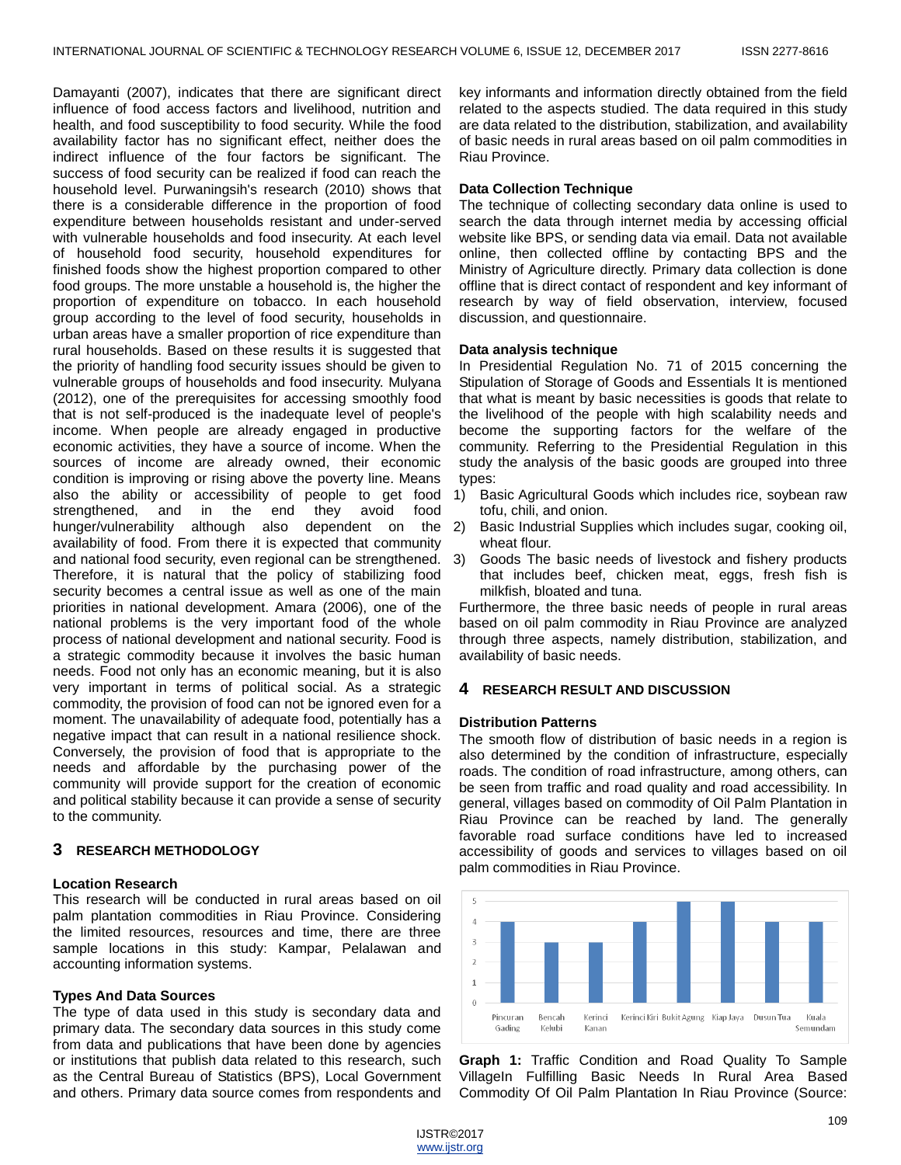Damayanti (2007), indicates that there are significant direct influence of food access factors and livelihood, nutrition and health, and food susceptibility to food security. While the food availability factor has no significant effect, neither does the indirect influence of the four factors be significant. The success of food security can be realized if food can reach the household level. Purwaningsih's research (2010) shows that there is a considerable difference in the proportion of food expenditure between households resistant and under-served with vulnerable households and food insecurity. At each level of household food security, household expenditures for finished foods show the highest proportion compared to other food groups. The more unstable a household is, the higher the proportion of expenditure on tobacco. In each household group according to the level of food security, households in urban areas have a smaller proportion of rice expenditure than rural households. Based on these results it is suggested that the priority of handling food security issues should be given to vulnerable groups of households and food insecurity. Mulyana (2012), one of the prerequisites for accessing smoothly food that is not self-produced is the inadequate level of people's income. When people are already engaged in productive economic activities, they have a source of income. When the sources of income are already owned, their economic condition is improving or rising above the poverty line. Means also the ability or accessibility of people to get food strengthened, and in the end they avoid food hunger/vulnerability although also dependent on the 2) availability of food. From there it is expected that community and national food security, even regional can be strengthened. Therefore, it is natural that the policy of stabilizing food security becomes a central issue as well as one of the main priorities in national development. Amara (2006), one of the national problems is the very important food of the whole process of national development and national security. Food is a strategic commodity because it involves the basic human needs. Food not only has an economic meaning, but it is also very important in terms of political social. As a strategic commodity, the provision of food can not be ignored even for a moment. The unavailability of adequate food, potentially has a negative impact that can result in a national resilience shock. Conversely, the provision of food that is appropriate to the needs and affordable by the purchasing power of the community will provide support for the creation of economic and political stability because it can provide a sense of security to the community.

#### **3 RESEARCH METHODOLOGY**

#### **Location Research**

This research will be conducted in rural areas based on oil palm plantation commodities in Riau Province. Considering the limited resources, resources and time, there are three sample locations in this study: Kampar, Pelalawan and accounting information systems.

#### **Types And Data Sources**

The type of data used in this study is secondary data and primary data. The secondary data sources in this study come from data and publications that have been done by agencies or institutions that publish data related to this research, such as the Central Bureau of Statistics (BPS), Local Government and others. Primary data source comes from respondents and

key informants and information directly obtained from the field related to the aspects studied. The data required in this study are data related to the distribution, stabilization, and availability of basic needs in rural areas based on oil palm commodities in Riau Province.

#### **Data Collection Technique**

The technique of collecting secondary data online is used to search the data through internet media by accessing official website like BPS, or sending data via email. Data not available online, then collected offline by contacting BPS and the Ministry of Agriculture directly. Primary data collection is done offline that is direct contact of respondent and key informant of research by way of field observation, interview, focused discussion, and questionnaire.

#### **Data analysis technique**

In Presidential Regulation No. 71 of 2015 concerning the Stipulation of Storage of Goods and Essentials It is mentioned that what is meant by basic necessities is goods that relate to the livelihood of the people with high scalability needs and become the supporting factors for the welfare of the community. Referring to the Presidential Regulation in this study the analysis of the basic goods are grouped into three types:

- 1) Basic Agricultural Goods which includes rice, soybean raw tofu, chili, and onion.
- 2) Basic Industrial Supplies which includes sugar, cooking oil, wheat flour.
- Goods The basic needs of livestock and fishery products that includes beef, chicken meat, eggs, fresh fish is milkfish, bloated and tuna.

Furthermore, the three basic needs of people in rural areas based on oil palm commodity in Riau Province are analyzed through three aspects, namely distribution, stabilization, and availability of basic needs.

#### **4 RESEARCH RESULT AND DISCUSSION**

#### **Distribution Patterns**

The smooth flow of distribution of basic needs in a region is also determined by the condition of infrastructure, especially roads. The condition of road infrastructure, among others, can be seen from traffic and road quality and road accessibility. In general, villages based on commodity of Oil Palm Plantation in Riau Province can be reached by land. The generally favorable road surface conditions have led to increased accessibility of goods and services to villages based on oil palm commodities in Riau Province.



**Graph 1:** Traffic Condition and Road Quality To Sample VillageIn Fulfilling Basic Needs In Rural Area Based Commodity Of Oil Palm Plantation In Riau Province (Source: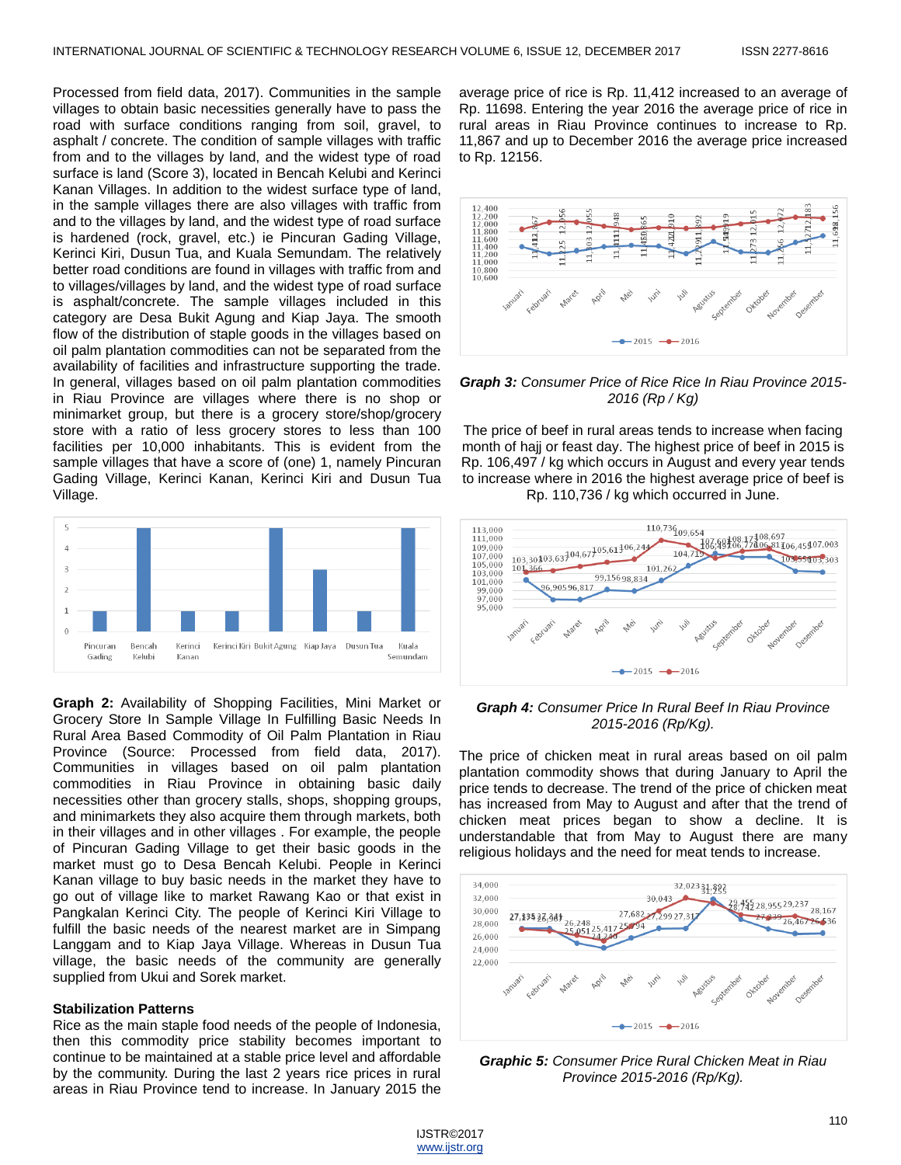Processed from field data, 2017). Communities in the sample villages to obtain basic necessities generally have to pass the road with surface conditions ranging from soil, gravel, to asphalt / concrete. The condition of sample villages with traffic from and to the villages by land, and the widest type of road surface is land (Score 3), located in Bencah Kelubi and Kerinci Kanan Villages. In addition to the widest surface type of land, in the sample villages there are also villages with traffic from and to the villages by land, and the widest type of road surface is hardened (rock, gravel, etc.) ie Pincuran Gading Village, Kerinci Kiri, Dusun Tua, and Kuala Semundam. The relatively better road conditions are found in villages with traffic from and to villages/villages by land, and the widest type of road surface is asphalt/concrete. The sample villages included in this category are Desa Bukit Agung and Kiap Jaya. The smooth flow of the distribution of staple goods in the villages based on oil palm plantation commodities can not be separated from the availability of facilities and infrastructure supporting the trade. In general, villages based on oil palm plantation commodities in Riau Province are villages where there is no shop or minimarket group, but there is a grocery store/shop/grocery store with a ratio of less grocery stores to less than 100 facilities per 10,000 inhabitants. This is evident from the sample villages that have a score of (one) 1, namely Pincuran Gading Village, Kerinci Kanan, Kerinci Kiri and Dusun Tua Village.



**Graph 2:** Availability of Shopping Facilities, Mini Market or Grocery Store In Sample Village In Fulfilling Basic Needs In Rural Area Based Commodity of Oil Palm Plantation in Riau Province (Source: Processed from field data, 2017). Communities in villages based on oil palm plantation commodities in Riau Province in obtaining basic daily necessities other than grocery stalls, shops, shopping groups, and minimarkets they also acquire them through markets, both in their villages and in other villages . For example, the people of Pincuran Gading Village to get their basic goods in the market must go to Desa Bencah Kelubi. People in Kerinci Kanan village to buy basic needs in the market they have to go out of village like to market Rawang Kao or that exist in Pangkalan Kerinci City. The people of Kerinci Kiri Village to fulfill the basic needs of the nearest market are in Simpang Langgam and to Kiap Jaya Village. Whereas in Dusun Tua village, the basic needs of the community are generally supplied from Ukui and Sorek market.

#### **Stabilization Patterns**

Rice as the main staple food needs of the people of Indonesia, then this commodity price stability becomes important to continue to be maintained at a stable price level and affordable by the community. During the last 2 years rice prices in rural areas in Riau Province tend to increase. In January 2015 the

average price of rice is Rp. 11,412 increased to an average of Rp. 11698. Entering the year 2016 the average price of rice in rural areas in Riau Province continues to increase to Rp. 11,867 and up to December 2016 the average price increased to Rp. 12156.



*Graph 3: Consumer Price of Rice Rice In Riau Province 2015- 2016 (Rp / Kg)*

The price of beef in rural areas tends to increase when facing month of hajj or feast day. The highest price of beef in 2015 is Rp. 106,497 / kg which occurs in August and every year tends to increase where in 2016 the highest average price of beef is Rp. 110,736 / kg which occurred in June.



#### *Graph 4: Consumer Price In Rural Beef In Riau Province 2015-2016 (Rp/Kg).*

The price of chicken meat in rural areas based on oil palm plantation commodity shows that during January to April the price tends to decrease. The trend of the price of chicken meat has increased from May to August and after that the trend of chicken meat prices began to show a decline. It is understandable that from May to August there are many religious holidays and the need for meat tends to increase.



*Graphic 5: Consumer Price Rural Chicken Meat in Riau Province 2015-2016 (Rp/Kg).*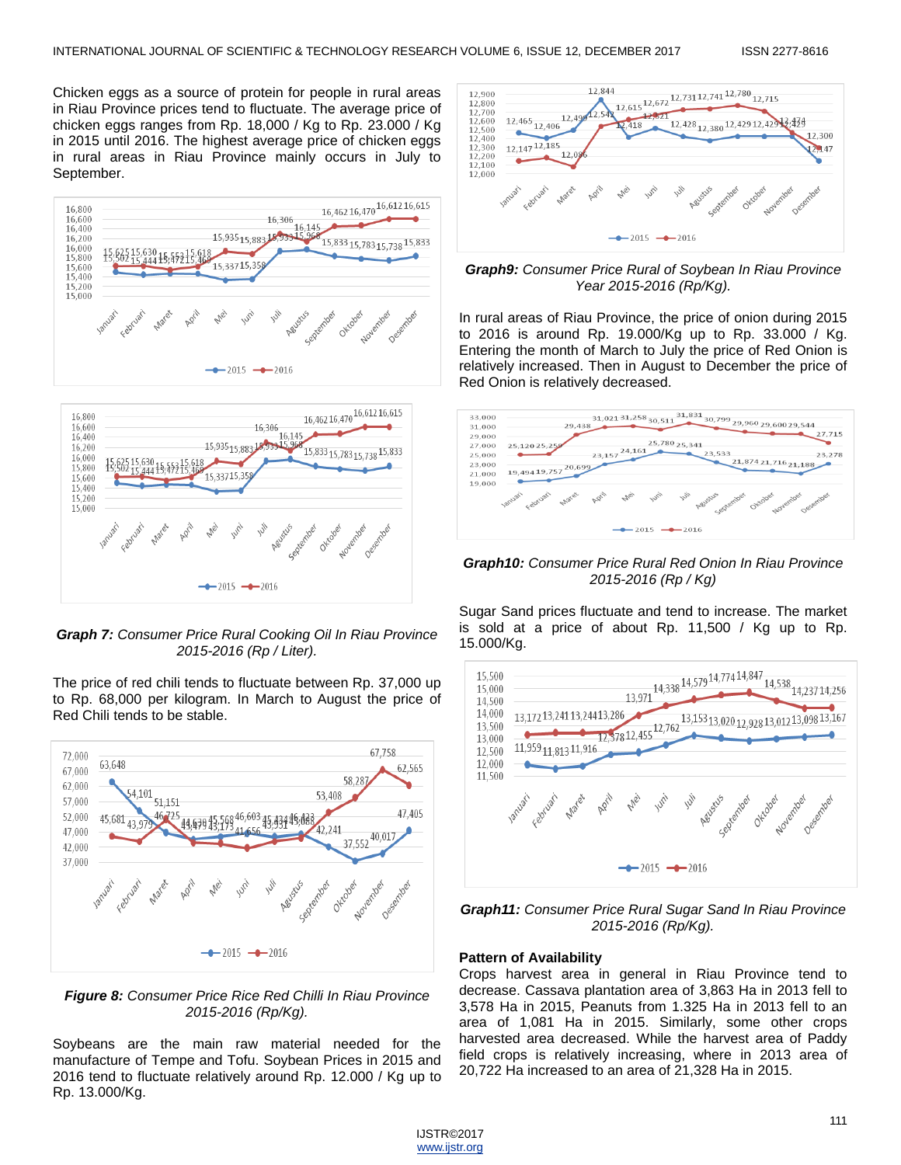Chicken eggs as a source of protein for people in rural areas in Riau Province prices tend to fluctuate. The average price of chicken eggs ranges from Rp. 18,000 / Kg to Rp. 23.000 / Kg in 2015 until 2016. The highest average price of chicken eggs in rural areas in Riau Province mainly occurs in July to September.





*Graph 7: Consumer Price Rural Cooking Oil In Riau Province 2015-2016 (Rp / Liter).*

The price of red chili tends to fluctuate between Rp. 37,000 up to Rp. 68,000 per kilogram. In March to August the price of Red Chili tends to be stable.



*Figure 8: Consumer Price Rice Red Chilli In Riau Province 2015-2016 (Rp/Kg).*

Soybeans are the main raw material needed for the manufacture of Tempe and Tofu. Soybean Prices in 2015 and 2016 tend to fluctuate relatively around Rp. 12.000 / Kg up to Rp. 13.000/Kg.



#### *Graph9: Consumer Price Rural of Soybean In Riau Province Year 2015-2016 (Rp/Kg).*

In rural areas of Riau Province, the price of onion during 2015 to 2016 is around Rp. 19.000/Kg up to Rp. 33.000 / Kg. Entering the month of March to July the price of Red Onion is relatively increased. Then in August to December the price of Red Onion is relatively decreased.



*Graph10: Consumer Price Rural Red Onion In Riau Province 2015-2016 (Rp / Kg)*

Sugar Sand prices fluctuate and tend to increase. The market is sold at a price of about Rp. 11,500 / Kg up to Rp. 15.000/Kg.



*Graph11: Consumer Price Rural Sugar Sand In Riau Province 2015-2016 (Rp/Kg).*

#### **Pattern of Availability**

Crops harvest area in general in Riau Province tend to decrease. Cassava plantation area of 3,863 Ha in 2013 fell to 3,578 Ha in 2015, Peanuts from 1.325 Ha in 2013 fell to an area of 1,081 Ha in 2015. Similarly, some other crops harvested area decreased. While the harvest area of Paddy field crops is relatively increasing, where in 2013 area of 20,722 Ha increased to an area of 21,328 Ha in 2015.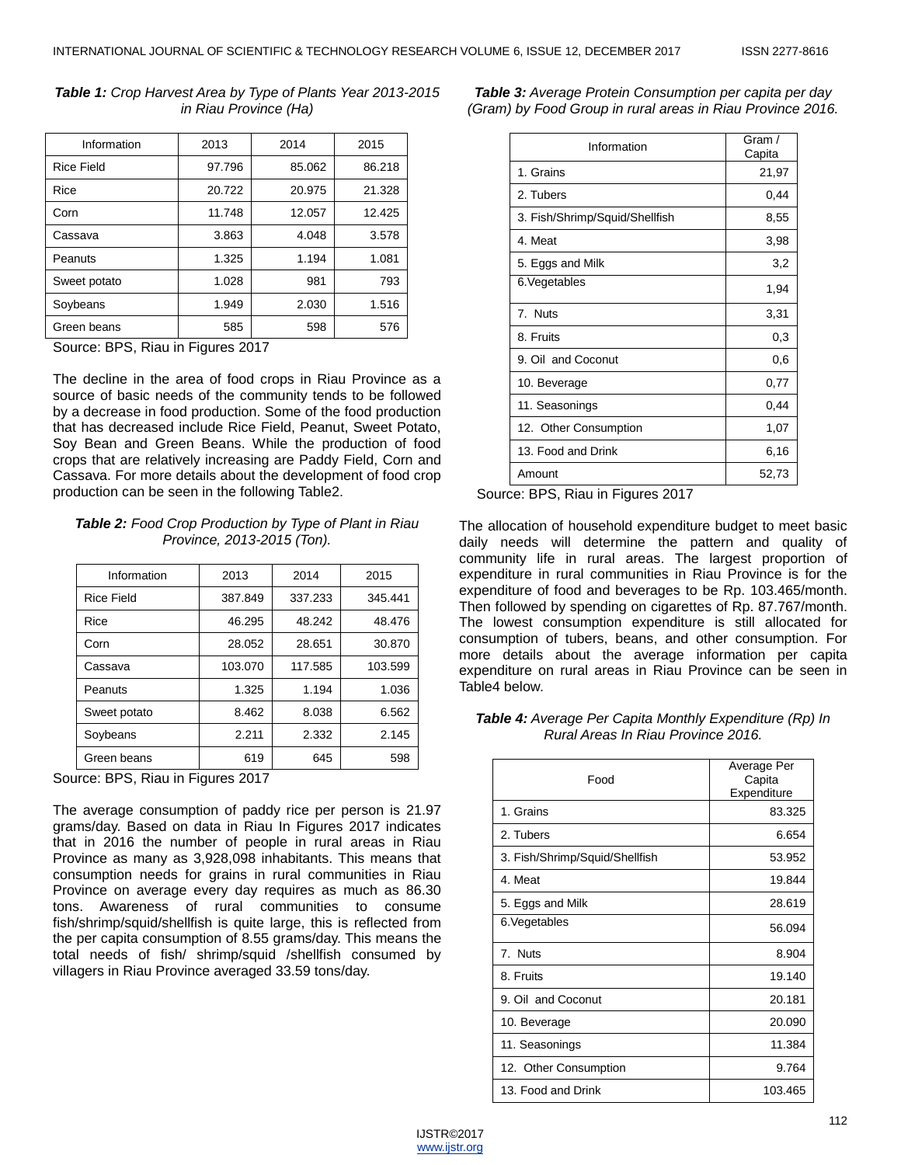| Information       | 2013   | 2014   | 2015   |
|-------------------|--------|--------|--------|
| <b>Rice Field</b> | 97.796 | 85.062 | 86.218 |
| Rice              | 20.722 | 20.975 | 21.328 |
| Corn              | 11.748 | 12.057 | 12.425 |
| Cassava           | 3.863  | 4.048  | 3.578  |
| Peanuts           | 1.325  | 1.194  | 1.081  |
| Sweet potato      | 1.028  | 981    | 793    |
| Soybeans          | 1.949  | 2.030  | 1.516  |
| Green beans       | 585    | 598    | 576    |

*Table 1: Crop Harvest Area by Type of Plants Year 2013-2015 in Riau Province (Ha)*

Source: BPS, Riau in Figures 2017

The decline in the area of food crops in Riau Province as a source of basic needs of the community tends to be followed by a decrease in food production. Some of the food production that has decreased include Rice Field, Peanut, Sweet Potato, Soy Bean and Green Beans. While the production of food crops that are relatively increasing are Paddy Field, Corn and Cassava. For more details about the development of food crop production can be seen in the following Table2.

#### *Table 2: Food Crop Production by Type of Plant in Riau Province, 2013-2015 (Ton).*

| Information       | 2013    | 2014    | 2015    |
|-------------------|---------|---------|---------|
| <b>Rice Field</b> | 387.849 | 337.233 | 345.441 |
| Rice              | 46.295  | 48.242  | 48.476  |
| Corn              | 28.052  | 28.651  | 30.870  |
| Cassava           | 103.070 | 117.585 | 103.599 |
| Peanuts           | 1.325   | 1.194   | 1.036   |
| Sweet potato      | 8.462   | 8.038   | 6.562   |
| Soybeans          | 2.211   | 2.332   | 2.145   |
| Green beans       | 619     | 645     | 598     |

Source: BPS, Riau in Figures 2017

The average consumption of paddy rice per person is 21.97 grams/day. Based on data in Riau In Figures 2017 indicates that in 2016 the number of people in rural areas in Riau Province as many as 3,928,098 inhabitants. This means that consumption needs for grains in rural communities in Riau Province on average every day requires as much as 86.30 tons. Awareness of rural communities to consume fish/shrimp/squid/shellfish is quite large, this is reflected from the per capita consumption of 8.55 grams/day. This means the total needs of fish/ shrimp/squid /shellfish consumed by villagers in Riau Province averaged 33.59 tons/day.

*Table 3: Average Protein Consumption per capita per day (Gram) by Food Group in rural areas in Riau Province 2016.*

| Information                    | Gram /<br>Capita |
|--------------------------------|------------------|
| 1. Grains                      | 21,97            |
| 2. Tubers                      | 0,44             |
| 3. Fish/Shrimp/Squid/Shellfish | 8,55             |
| 4. Meat                        | 3,98             |
| 5. Eggs and Milk               | 3,2              |
| 6. Vegetables                  | 1,94             |
| 7. Nuts                        | 3,31             |
| 8. Fruits                      | 0,3              |
| 9. Oil and Coconut             | 0,6              |
| 10. Beverage                   | 0,77             |
| 11. Seasonings                 | 0,44             |
| 12. Other Consumption          | 1,07             |
| 13. Food and Drink             | 6,16             |
| Amount                         | 52,73            |

Source: BPS, Riau in Figures 2017

The allocation of household expenditure budget to meet basic daily needs will determine the pattern and quality of community life in rural areas. The largest proportion of expenditure in rural communities in Riau Province is for the expenditure of food and beverages to be Rp. 103.465/month. Then followed by spending on cigarettes of Rp. 87.767/month. The lowest consumption expenditure is still allocated for consumption of tubers, beans, and other consumption. For more details about the average information per capita expenditure on rural areas in Riau Province can be seen in Table4 below.

*Table 4: Average Per Capita Monthly Expenditure (Rp) In Rural Areas In Riau Province 2016.*

| Food                           | Average Per<br>Capita<br>Expenditure |
|--------------------------------|--------------------------------------|
| 1. Grains                      | 83.325                               |
| 2. Tubers                      | 6.654                                |
| 3. Fish/Shrimp/Squid/Shellfish | 53.952                               |
| 4. Meat                        | 19.844                               |
| 5. Eggs and Milk               | 28.619                               |
| 6. Vegetables                  | 56.094                               |
| 7. Nuts                        | 8.904                                |
| 8. Fruits                      | 19.140                               |
| 9. Oil and Coconut             | 20.181                               |
| 10. Beverage                   | 20.090                               |
| 11. Seasonings                 | 11.384                               |
| 12. Other Consumption          | 9.764                                |
| 13. Food and Drink             | 103.465                              |